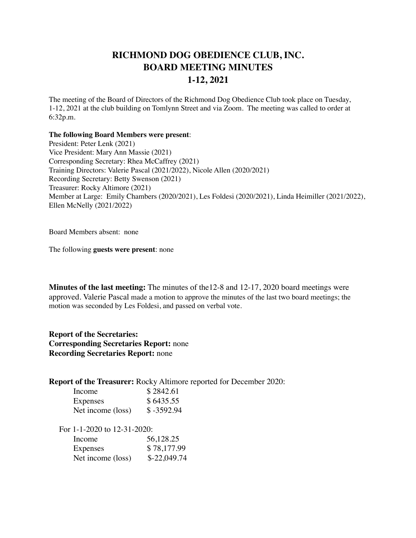## **RICHMOND DOG OBEDIENCE CLUB, INC. BOARD MEETING MINUTES 1-12, 2021**

The meeting of the Board of Directors of the Richmond Dog Obedience Club took place on Tuesday, 1-12, 2021 at the club building on Tomlynn Street and via Zoom. The meeting was called to order at 6:32p.m.

## **The following Board Members were present**:

President: Peter Lenk (2021) Vice President: Mary Ann Massie (2021) Corresponding Secretary: Rhea McCaffrey (2021) Training Directors: Valerie Pascal (2021/2022), Nicole Allen (2020/2021) Recording Secretary: Betty Swenson (2021) Treasurer: Rocky Altimore (2021) Member at Large: Emily Chambers (2020/2021), Les Foldesi (2020/2021), Linda Heimiller (2021/2022), Ellen McNelly (2021/2022)

Board Members absent: none

The following **guests were present**: none

**Minutes of the last meeting:** The minutes of the12-8 and 12-17, 2020 board meetings were approved. Valerie Pascal made a motion to approve the minutes of the last two board meetings; the motion was seconded by Les Foldesi, and passed on verbal vote.

**Report of the Secretaries: Corresponding Secretaries Report:** none **Recording Secretaries Report:** none

**Report of the Treasurer:** Rocky Altimore reported for December 2020:

| Income            | \$2842.61    |
|-------------------|--------------|
| Expenses          | \$6435.55    |
| Net income (loss) | $$ -3592.94$ |

For 1-1-2020 to 12-31-2020:

| Income            | 56,128.25     |
|-------------------|---------------|
| Expenses          | \$78,177.99   |
| Net income (loss) | $$-22,049.74$ |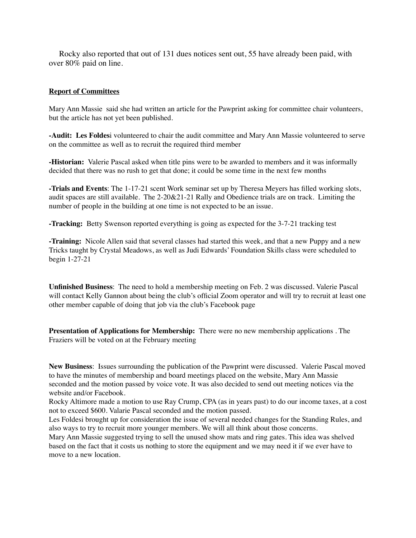Rocky also reported that out of 131 dues notices sent out, 55 have already been paid, with over 80% paid on line.

## **Report of Committees**

Mary Ann Massie said she had written an article for the Pawprint asking for committee chair volunteers, but the article has not yet been published.

**-Audit: Les Foldes**i volunteered to chair the audit committee and Mary Ann Massie volunteered to serve on the committee as well as to recruit the required third member

**-Historian:** Valerie Pascal asked when title pins were to be awarded to members and it was informally decided that there was no rush to get that done; it could be some time in the next few months

**-Trials and Events**: The 1-17-21 scent Work seminar set up by Theresa Meyers has filled working slots, audit spaces are still available. The 2-20&21-21 Rally and Obedience trials are on track. Limiting the number of people in the building at one time is not expected to be an issue.

**-Tracking:** Betty Swenson reported everything is going as expected for the 3-7-21 tracking test

**-Training:** Nicole Allen said that several classes had started this week, and that a new Puppy and a new Tricks taught by Crystal Meadows, as well as Judi Edwards' Foundation Skills class were scheduled to begin 1-27-21

**Unfinished Business**: The need to hold a membership meeting on Feb. 2 was discussed. Valerie Pascal will contact Kelly Gannon about being the club's official Zoom operator and will try to recruit at least one other member capable of doing that job via the club's Facebook page

**Presentation of Applications for Membership:** There were no new membership applications . The Fraziers will be voted on at the February meeting

**New Business**: Issues surrounding the publication of the Pawprint were discussed. Valerie Pascal moved to have the minutes of membership and board meetings placed on the website, Mary Ann Massie seconded and the motion passed by voice vote. It was also decided to send out meeting notices via the website and/or Facebook.

Rocky Altimore made a motion to use Ray Crump, CPA (as in years past) to do our income taxes, at a cost not to exceed \$600. Valarie Pascal seconded and the motion passed.

Les Foldesi brought up for consideration the issue of several needed changes for the Standing Rules, and also ways to try to recruit more younger members. We will all think about those concerns.

Mary Ann Massie suggested trying to sell the unused show mats and ring gates. This idea was shelved based on the fact that it costs us nothing to store the equipment and we may need it if we ever have to move to a new location.